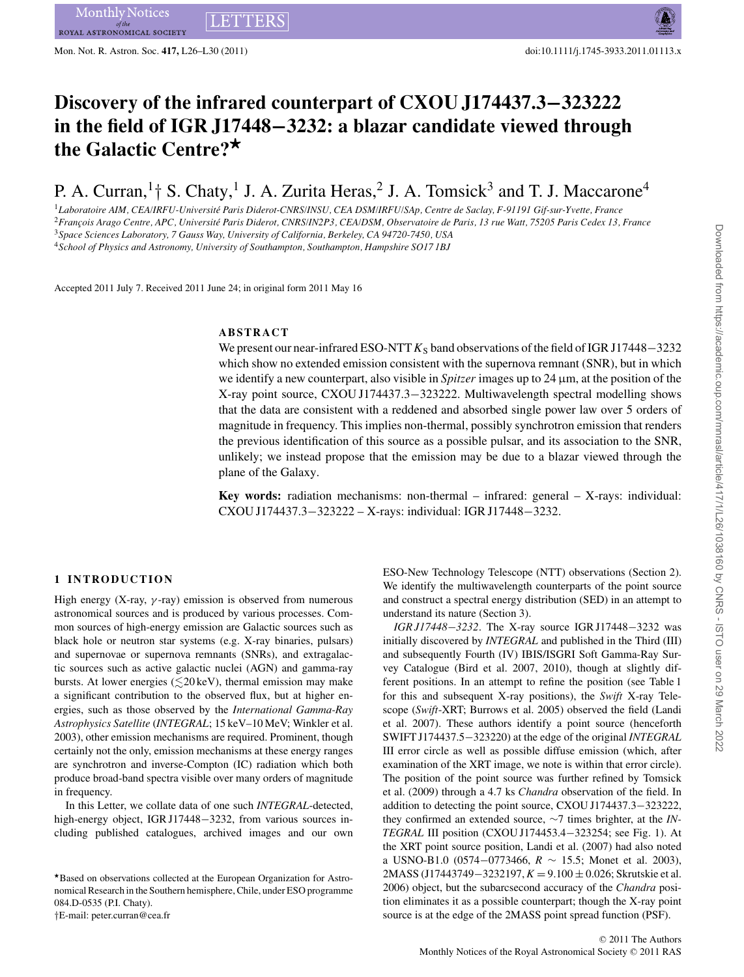# **Discovery of the infrared counterpart of CXOU J174437.3−323222 in the field of IGR J17448−3232: a blazar candidate viewed through the Galactic Centre?***-*

P. A. Curran,<sup>1</sup>  $\dagger$  S. Chaty,<sup>1</sup> J. A. Zurita Heras,<sup>2</sup> J. A. Tomsick<sup>3</sup> and T. J. Maccarone<sup>4</sup>

*Laboratoire AIM, CEA/IRFU-Universite Paris Diderot-CNRS/INSU, CEA DSM/IRFU/SAp, Centre de Saclay, F-91191 Gif-sur-Yvette, France ´ Franc¸ois Arago Centre, APC, Universite Paris Diderot, CNRS/IN2P3, CEA/DSM, Observatoire de Paris, 13 rue Watt, 75205 Paris Cedex 13, France ´ Space Sciences Laboratory, 7 Gauss Way, University of California, Berkeley, CA 94720-7450, USA School of Physics and Astronomy, University of Southampton, Southampton, Hampshire SO17 1BJ*

Accepted 2011 July 7. Received 2011 June 24; in original form 2011 May 16

## **ABSTRACT**

**LETTERS** 

We present our near-infrared ESO-NTT  $K_S$  band observations of the field of IGR J17448–3232 which show no extended emission consistent with the supernova remnant (SNR), but in which we identify a new counterpart, also visible in *Spitzer* images up to 24  $\mu$ m, at the position of the X-ray point source, CXOU J174437.3−323222. Multiwavelength spectral modelling shows that the data are consistent with a reddened and absorbed single power law over 5 orders of magnitude in frequency. This implies non-thermal, possibly synchrotron emission that renders the previous identification of this source as a possible pulsar, and its association to the SNR, unlikely; we instead propose that the emission may be due to a blazar viewed through the plane of the Galaxy.

**Key words:** radiation mechanisms: non-thermal – infrared: general – X-rays: individual: CXOU J174437.3−323222 – X-rays: individual: IGR J17448−3232.

## **1 INTRODUCTION**

High energy (X-ray,  $\gamma$ -ray) emission is observed from numerous astronomical sources and is produced by various processes. Common sources of high-energy emission are Galactic sources such as black hole or neutron star systems (e.g. X-ray binaries, pulsars) and supernovae or supernova remnants (SNRs), and extragalactic sources such as active galactic nuclei (AGN) and gamma-ray bursts. At lower energies ( $\lesssim$ 20 keV), thermal emission may make a significant contribution to the observed flux, but at higher energies, such as those observed by the *International Gamma-Ray Astrophysics Satellite* (*INTEGRAL*; 15 keV–10 MeV; Winkler et al. 2003), other emission mechanisms are required. Prominent, though certainly not the only, emission mechanisms at these energy ranges are synchrotron and inverse-Compton (IC) radiation which both produce broad-band spectra visible over many orders of magnitude in frequency.

In this Letter, we collate data of one such *INTEGRAL*-detected, high-energy object, IGR J17448−3232, from various sources including published catalogues, archived images and our own

Based on observations collected at the European Organization for Astronomical Research in the Southern hemisphere, Chile, under ESO programme 084.D-0535 (P.I. Chaty).

†E-mail: peter.curran@cea.fr

ESO-New Technology Telescope (NTT) observations (Section 2). We identify the multiwavelength counterparts of the point source and construct a spectral energy distribution (SED) in an attempt to understand its nature (Section 3).

*IGR J17448*−*3232*. The X-ray source IGR J17448−3232 was initially discovered by *INTEGRAL* and published in the Third (III) and subsequently Fourth (IV) IBIS/ISGRI Soft Gamma-Ray Survey Catalogue (Bird et al. 2007, 2010), though at slightly different positions. In an attempt to refine the position (see Table 1 for this and subsequent X-ray positions), the *Swift* X-ray Telescope (*Swift*-XRT; Burrows et al. 2005) observed the field (Landi et al. 2007). These authors identify a point source (henceforth SWIFT J174437.5−323220) at the edge of the original *INTEGRAL* III error circle as well as possible diffuse emission (which, after examination of the XRT image, we note is within that error circle). The position of the point source was further refined by Tomsick et al. (2009) through a 4.7 ks *Chandra* observation of the field. In addition to detecting the point source, CXOU J174437.3−323222, they confirmed an extended source, ∼7 times brighter, at the *IN-TEGRAL* III position (CXOU J174453.4−323254; see Fig. 1). At the XRT point source position, Landi et al. (2007) had also noted a USNO-B1.0 (0574−0773466, *R* ∼ 15.5; Monet et al. 2003), 2MASS (J17443749−3232197, *K* = 9.100 ± 0.026; Skrutskie et al. 2006) object, but the subarcsecond accuracy of the *Chandra* position eliminates it as a possible counterpart; though the X-ray point source is at the edge of the 2MASS point spread function (PSF).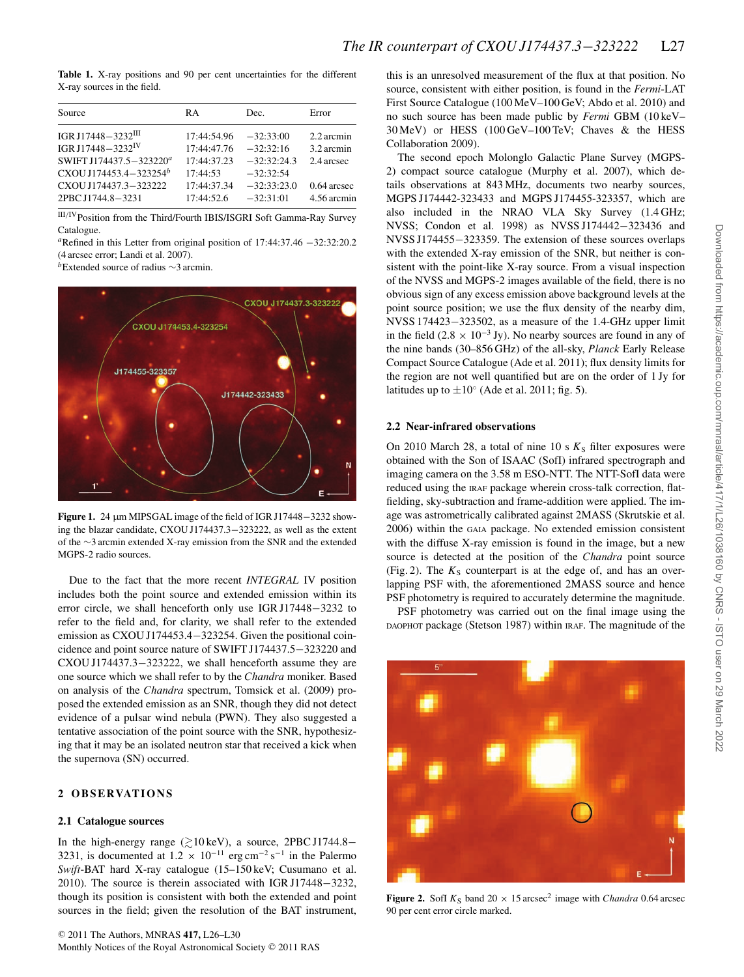**Table 1.** X-ray positions and 90 per cent uncertainties for the different X-ray sources in the field.

| Source                              | RA          | Dec.          | Error         |
|-------------------------------------|-------------|---------------|---------------|
| IGR J17448-3232 <sup>III</sup>      | 17:44:54.96 | $-32:33:00$   | 2.2 arcmin    |
| IGR J17448-3232 <sup>IV</sup>       | 17:44:47.76 | $-32:32:16$   | 3.2 arcmin    |
| SWIFT J174437.5-323220 <sup>a</sup> | 17:44:37.23 | $-32:32:24.3$ | 2.4 arcsec    |
| $CXOUIJ174453.4-323254b$            | 17.44.53    | $-32:32:54$   |               |
| CXOU J174437.3-323222               | 17.44.37.34 | $-32:33:23.0$ | $0.64$ arcsec |
| 2PBC J1744.8-3231                   | 17.44.526   | $-32:31:01$   | 4.56 arcmin   |
|                                     |             |               |               |

III/IVPosition from the Third/Fourth IBIS/ISGRI Soft Gamma-Ray Survey **Catalogue** 

*<sup>a</sup>*Refined in this Letter from original position of 17:44:37.46 <sup>−</sup>32:32:20.2 (4 arcsec error; Landi et al. 2007).

*b*Extended source of radius ∼3 arcmin.



**Figure 1.** 24 µm MIPSGAL image of the field of IGR J17448−3232 showing the blazar candidate, CXOU J174437.3−323222, as well as the extent of the ∼3 arcmin extended X-ray emission from the SNR and the extended MGPS-2 radio sources.

Due to the fact that the more recent *INTEGRAL* IV position includes both the point source and extended emission within its error circle, we shall henceforth only use IGR J17448−3232 to refer to the field and, for clarity, we shall refer to the extended emission as CXOU J174453.4−323254. Given the positional coincidence and point source nature of SWIFT J174437.5−323220 and CXOU J174437.3−323222, we shall henceforth assume they are one source which we shall refer to by the *Chandra* moniker. Based on analysis of the *Chandra* spectrum, Tomsick et al. (2009) proposed the extended emission as an SNR, though they did not detect evidence of a pulsar wind nebula (PWN). They also suggested a tentative association of the point source with the SNR, hypothesizing that it may be an isolated neutron star that received a kick when the supernova (SN) occurred.

# **2 OB SE RVAT IO N S**

## **2.1 Catalogue sources**

In the high-energy range ( $\gtrsim$ 10 keV), a source, 2PBC J1744.8− 3231, is documented at  $1.2 \times 10^{-11}$  erg cm<sup>-2</sup> s<sup>-1</sup> in the Palermo *Swift*-BAT hard X-ray catalogue (15–150 keV; Cusumano et al. 2010). The source is therein associated with IGR J17448−3232, though its position is consistent with both the extended and point sources in the field; given the resolution of the BAT instrument,

this is an unresolved measurement of the flux at that position. No source, consistent with either position, is found in the *Fermi*-LAT First Source Catalogue (100 MeV–100 GeV; Abdo et al. 2010) and no such source has been made public by *Fermi* GBM (10 keV– 30 MeV) or HESS (100 GeV–100 TeV; Chaves & the HESS Collaboration 2009).

The second epoch Molonglo Galactic Plane Survey (MGPS-2) compact source catalogue (Murphy et al. 2007), which details observations at 843 MHz, documents two nearby sources, MGPS J174442-323433 and MGPS J174455-323357, which are also included in the NRAO VLA Sky Survey (1.4 GHz; NVSS; Condon et al. 1998) as NVSS J174442−323436 and NVSS J174455−323359. The extension of these sources overlaps with the extended X-ray emission of the SNR, but neither is consistent with the point-like X-ray source. From a visual inspection of the NVSS and MGPS-2 images available of the field, there is no obvious sign of any excess emission above background levels at the point source position; we use the flux density of the nearby dim, NVSS 174423−323502, as a measure of the 1.4-GHz upper limit in the field (2.8  $\times$  10<sup>-3</sup> Jy). No nearby sources are found in any of the nine bands (30–856 GHz) of the all-sky, *Planck* Early Release Compact Source Catalogue (Ade et al. 2011); flux density limits for the region are not well quantified but are on the order of 1 Jy for latitudes up to  $\pm 10^\circ$  (Ade et al. 2011; fig. 5).

## **2.2 Near-infrared observations**

On 2010 March 28, a total of nine 10 s  $K<sub>S</sub>$  filter exposures were obtained with the Son of ISAAC (SofI) infrared spectrograph and imaging camera on the 3.58 m ESO-NTT. The NTT-SofI data were reduced using the IRAF package wherein cross-talk correction, flatfielding, sky-subtraction and frame-addition were applied. The image was astrometrically calibrated against 2MASS (Skrutskie et al. 2006) within the GAIA package. No extended emission consistent with the diffuse X-ray emission is found in the image, but a new source is detected at the position of the *Chandra* point source (Fig. 2). The  $K<sub>S</sub>$  counterpart is at the edge of, and has an overlapping PSF with, the aforementioned 2MASS source and hence PSF photometry is required to accurately determine the magnitude.

PSF photometry was carried out on the final image using the DAOPHOT package (Stetson 1987) within IRAF. The magnitude of the



**Figure 2.** SofI  $K<sub>S</sub>$  band 20  $\times$  15 arcsec<sup>2</sup> image with *Chandra* 0.64 arcsec 90 per cent error circle marked.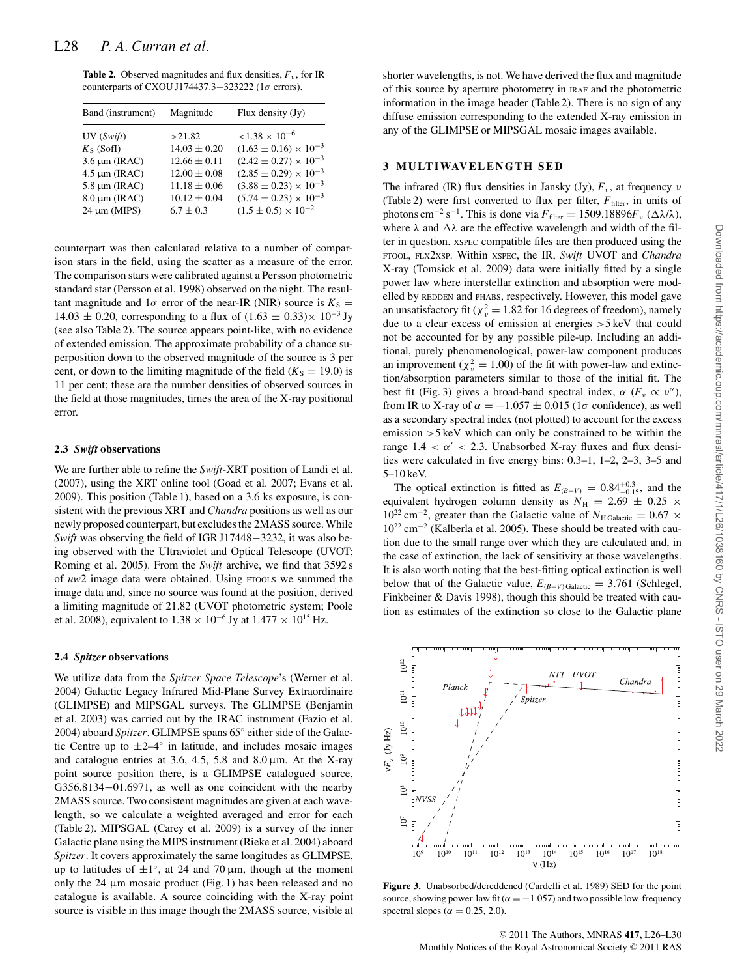**Table 2.** Observed magnitudes and flux densities,  $F_v$ , for IR counterparts of CXOU J174437.3−323222 (1σ errors).

| Band (instrument)                                                                                                                  | Magnitude                                                                                                                   | Flux density $(Jy)$                                                                                                                                                                                                                           |
|------------------------------------------------------------------------------------------------------------------------------------|-----------------------------------------------------------------------------------------------------------------------------|-----------------------------------------------------------------------------------------------------------------------------------------------------------------------------------------------------------------------------------------------|
| UV (Swift)<br>$K_S$ (SofI)<br>$3.6 \mu m$ (IRAC)<br>$4.5 \mu m$ (IRAC)<br>$5.8 \mu m$ (IRAC)<br>$8.0 \mu m$ (IRAC)<br>24 µm (MIPS) | >21.82<br>$14.03 \pm 0.20$<br>$12.66 \pm 0.11$<br>$12.00 \pm 0.08$<br>$11.18 \pm 0.06$<br>$10.12 \pm 0.04$<br>$6.7 \pm 0.3$ | $< 1.38 \times 10^{-6}$<br>$(1.63 \pm 0.16) \times 10^{-3}$<br>$(2.42 \pm 0.27) \times 10^{-3}$<br>$(2.85 \pm 0.29) \times 10^{-3}$<br>$(3.88 \pm 0.23) \times 10^{-3}$<br>$(5.74 \pm 0.23) \times 10^{-3}$<br>$(1.5 \pm 0.5) \times 10^{-2}$ |
|                                                                                                                                    |                                                                                                                             |                                                                                                                                                                                                                                               |

counterpart was then calculated relative to a number of comparison stars in the field, using the scatter as a measure of the error. The comparison stars were calibrated against a Persson photometric standard star (Persson et al. 1998) observed on the night. The resultant magnitude and  $1\sigma$  error of the near-IR (NIR) source is  $K_S =$  $14.03 \pm 0.20$ , corresponding to a flux of  $(1.63 \pm 0.33) \times 10^{-3}$  Jy (see also Table 2). The source appears point-like, with no evidence of extended emission. The approximate probability of a chance superposition down to the observed magnitude of the source is 3 per cent, or down to the limiting magnitude of the field  $(K<sub>S</sub> = 19.0)$  is 11 per cent; these are the number densities of observed sources in the field at those magnitudes, times the area of the X-ray positional error.

## **2.3** *Swift* **observations**

We are further able to refine the *Swift*-XRT position of Landi et al. (2007), using the XRT online tool (Goad et al. 2007; Evans et al. 2009). This position (Table 1), based on a 3.6 ks exposure, is consistent with the previous XRT and *Chandra* positions as well as our newly proposed counterpart, but excludes the 2MASS source. While *Swift* was observing the field of IGR J17448−3232, it was also being observed with the Ultraviolet and Optical Telescope (UVOT; Roming et al. 2005). From the *Swift* archive, we find that 3592 s of *uw*2 image data were obtained. Using FTOOLS we summed the image data and, since no source was found at the position, derived a limiting magnitude of 21.82 (UVOT photometric system; Poole et al. 2008), equivalent to  $1.38 \times 10^{-6}$  Jy at  $1.477 \times 10^{15}$  Hz.

#### **2.4** *Spitzer* **observations**

We utilize data from the *Spitzer Space Telescope*'s (Werner et al. 2004) Galactic Legacy Infrared Mid-Plane Survey Extraordinaire (GLIMPSE) and MIPSGAL surveys. The GLIMPSE (Benjamin et al. 2003) was carried out by the IRAC instrument (Fazio et al. 2004) aboard *Spitzer*. GLIMPSE spans 65° either side of the Galactic Centre up to  $\pm 2-4^\circ$  in latitude, and includes mosaic images and catalogue entries at 3.6, 4.5, 5.8 and  $8.0 \,\mu$ m. At the X-ray point source position there, is a GLIMPSE catalogued source, G356.8134−01.6971, as well as one coincident with the nearby 2MASS source. Two consistent magnitudes are given at each wavelength, so we calculate a weighted averaged and error for each (Table 2). MIPSGAL (Carey et al. 2009) is a survey of the inner Galactic plane using the MIPS instrument (Rieke et al. 2004) aboard *Spitzer*. It covers approximately the same longitudes as GLIMPSE, up to latitudes of  $\pm 1^\circ$ , at 24 and 70  $\mu$ m, though at the moment only the 24 µm mosaic product (Fig. 1) has been released and no catalogue is available. A source coinciding with the X-ray point source is visible in this image though the 2MASS source, visible at

shorter wavelengths, is not. We have derived the flux and magnitude of this source by aperture photometry in IRAF and the photometric information in the image header (Table 2). There is no sign of any diffuse emission corresponding to the extended X-ray emission in any of the GLIMPSE or MIPSGAL mosaic images available.

## **3 MULTIWAVELENGTH SED**

The infrared (IR) flux densities in Jansky (Jy),  $F_v$ , at frequency  $v$ (Table 2) were first converted to flux per filter,  $F_{\text{filter}}$ , in units of photons cm<sup>-2</sup> s<sup>-1</sup>. This is done via  $F_{\text{filter}} = 1509.18896F_v (\Delta \lambda/\lambda)$ , where  $\lambda$  and  $\Delta\lambda$  are the effective wavelength and width of the filter in question. XSPEC compatible files are then produced using the FTOOL, FLX2XSP. Within XSPEC, the IR, *Swift* UVOT and *Chandra* X-ray (Tomsick et al. 2009) data were initially fitted by a single power law where interstellar extinction and absorption were modelled by REDDEN and PHABS, respectively. However, this model gave an unsatisfactory fit ( $\chi^2$  = 1.82 for 16 degrees of freedom), namely due to a clear excess of emission at energies >5 keV that could not be accounted for by any possible pile-up. Including an additional, purely phenomenological, power-law component produces an improvement ( $\chi^2 = 1.00$ ) of the fit with power-law and extinction/absorption parameters similar to those of the initial fit. The best fit (Fig. 3) gives a broad-band spectral index,  $\alpha$  ( $F_v \propto v^{\alpha}$ ), from IR to X-ray of  $\alpha = -1.057 \pm 0.015$  (1 $\sigma$  confidence), as well as a secondary spectral index (not plotted) to account for the excess emission >5 keV which can only be constrained to be within the range  $1.4 < \alpha' < 2.3$ . Unabsorbed X-ray fluxes and flux densities were calculated in five energy bins: 0.3–1, 1–2, 2–3, 3–5 and 5–10 keV.

The optical extinction is fitted as  $E_{(B-V)} = 0.84_{-0.15}^{+0.3}$ , and the equivalent hydrogen column density as  $N_H = 2.69 \pm 0.25 \times$  $10^{22}$  cm<sup>-2</sup>, greater than the Galactic value of  $N_{\text{H Galactic}} = 0.67 \times$ 10<sup>22</sup> cm−<sup>2</sup> (Kalberla et al. 2005). These should be treated with caution due to the small range over which they are calculated and, in the case of extinction, the lack of sensitivity at those wavelengths. It is also worth noting that the best-fitting optical extinction is well below that of the Galactic value,  $E_{(B-V) \text{ Galactic}} = 3.761$  (Schlegel, Finkbeiner & Davis 1998), though this should be treated with caution as estimates of the extinction so close to the Galactic plane



**Figure 3.** Unabsorbed/dereddened (Cardelli et al. 1989) SED for the point source, showing power-law fit ( $\alpha = -1.057$ ) and two possible low-frequency spectral slopes ( $\alpha = 0.25, 2.0$ ).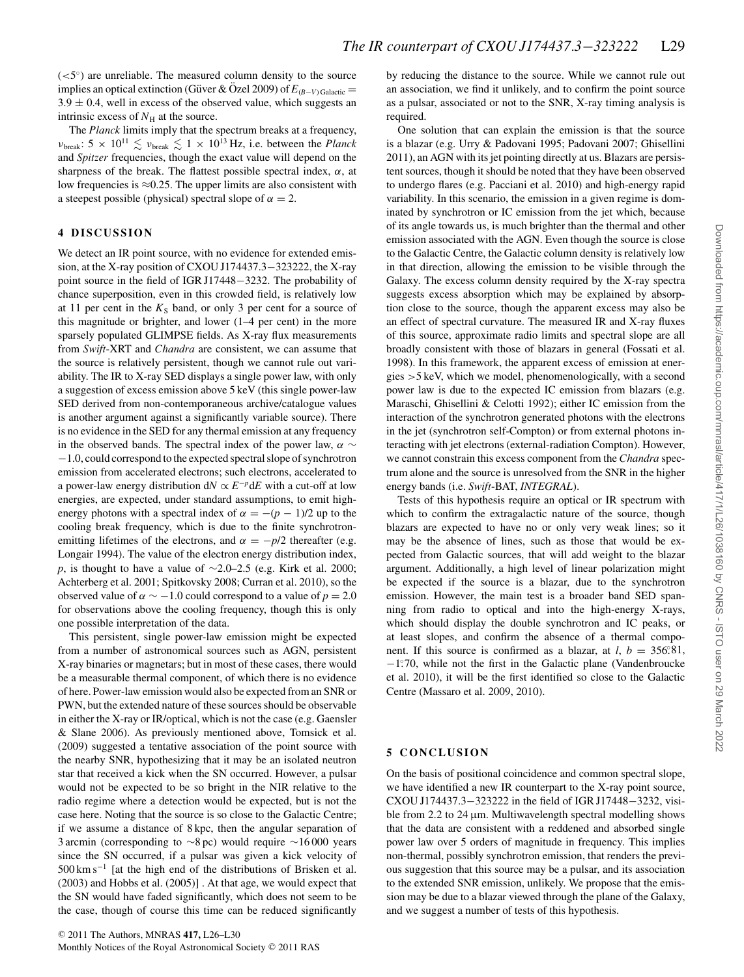$(<5°)$  are unreliable. The measured column density to the source implies an optical extinction (Güver & Ozel 2009) of  $E_{(B-V) \text{ Galactic}} =$  $3.9 \pm 0.4$ , well in excess of the observed value, which suggests an intrinsic excess of  $N<sub>H</sub>$  at the source.

The *Planck* limits imply that the spectrum breaks at a frequency,  $v_{\text{break}}$ : 5 × 10<sup>11</sup>  $\lesssim v_{\text{break}} \lesssim 1 \times 10^{13}$  Hz, i.e. between the *Planck* and *Spitzer* frequencies, though the exact value will depend on the sharpness of the break. The flattest possible spectral index,  $\alpha$ , at low frequencies is  $\approx 0.25$ . The upper limits are also consistent with a steepest possible (physical) spectral slope of  $\alpha = 2$ .

# **4 DISCUSSION**

We detect an IR point source, with no evidence for extended emission, at the X-ray position of CXOU J174437.3−323222, the X-ray point source in the field of IGR J17448−3232. The probability of chance superposition, even in this crowded field, is relatively low at 11 per cent in the  $K<sub>S</sub>$  band, or only 3 per cent for a source of this magnitude or brighter, and lower (1–4 per cent) in the more sparsely populated GLIMPSE fields. As X-ray flux measurements from *Swift*-XRT and *Chandra* are consistent, we can assume that the source is relatively persistent, though we cannot rule out variability. The IR to X-ray SED displays a single power law, with only a suggestion of excess emission above 5 keV (this single power-law SED derived from non-contemporaneous archive/catalogue values is another argument against a significantly variable source). There is no evidence in the SED for any thermal emission at any frequency in the observed bands. The spectral index of the power law,  $\alpha \sim$ −1.0, could correspond to the expected spectral slope of synchrotron emission from accelerated electrons; such electrons, accelerated to a power-law energy distribution d*<sup>N</sup>* <sup>∝</sup> *<sup>E</sup>*−*<sup>p</sup>*d*<sup>E</sup>* with a cut-off at low energies, are expected, under standard assumptions, to emit highenergy photons with a spectral index of  $\alpha = -(p-1)/2$  up to the cooling break frequency, which is due to the finite synchrotronemitting lifetimes of the electrons, and  $\alpha = -p/2$  thereafter (e.g. Longair 1994). The value of the electron energy distribution index, *p*, is thought to have a value of  $\sim$ 2.0–2.5 (e.g. Kirk et al. 2000; Achterberg et al. 2001; Spitkovsky 2008; Curran et al. 2010), so the observed value of  $\alpha \sim -1.0$  could correspond to a value of  $p = 2.0$ for observations above the cooling frequency, though this is only one possible interpretation of the data.

This persistent, single power-law emission might be expected from a number of astronomical sources such as AGN, persistent X-ray binaries or magnetars; but in most of these cases, there would be a measurable thermal component, of which there is no evidence of here. Power-law emission would also be expected from an SNR or PWN, but the extended nature of these sources should be observable in either the X-ray or IR/optical, which is not the case (e.g. Gaensler & Slane 2006). As previously mentioned above, Tomsick et al. (2009) suggested a tentative association of the point source with the nearby SNR, hypothesizing that it may be an isolated neutron star that received a kick when the SN occurred. However, a pulsar would not be expected to be so bright in the NIR relative to the radio regime where a detection would be expected, but is not the case here. Noting that the source is so close to the Galactic Centre; if we assume a distance of 8 kpc, then the angular separation of 3 arcmin (corresponding to ∼8 pc) would require ∼16 000 years since the SN occurred, if a pulsar was given a kick velocity of 500 km s−<sup>1</sup> [at the high end of the distributions of Brisken et al. (2003) and Hobbs et al. (2005)] . At that age, we would expect that the SN would have faded significantly, which does not seem to be the case, though of course this time can be reduced significantly

by reducing the distance to the source. While we cannot rule out an association, we find it unlikely, and to confirm the point source as a pulsar, associated or not to the SNR, X-ray timing analysis is required.

One solution that can explain the emission is that the source is a blazar (e.g. Urry & Padovani 1995; Padovani 2007; Ghisellini 2011), an AGN with its jet pointing directly at us. Blazars are persistent sources, though it should be noted that they have been observed to undergo flares (e.g. Pacciani et al. 2010) and high-energy rapid variability. In this scenario, the emission in a given regime is dominated by synchrotron or IC emission from the jet which, because of its angle towards us, is much brighter than the thermal and other emission associated with the AGN. Even though the source is close to the Galactic Centre, the Galactic column density is relatively low in that direction, allowing the emission to be visible through the Galaxy. The excess column density required by the X-ray spectra suggests excess absorption which may be explained by absorption close to the source, though the apparent excess may also be an effect of spectral curvature. The measured IR and X-ray fluxes of this source, approximate radio limits and spectral slope are all broadly consistent with those of blazars in general (Fossati et al. 1998). In this framework, the apparent excess of emission at energies >5 keV, which we model, phenomenologically, with a second power law is due to the expected IC emission from blazars (e.g. Maraschi, Ghisellini & Celotti 1992); either IC emission from the interaction of the synchrotron generated photons with the electrons in the jet (synchrotron self-Compton) or from external photons interacting with jet electrons (external-radiation Compton). However, we cannot constrain this excess component from the *Chandra* spectrum alone and the source is unresolved from the SNR in the higher energy bands (i.e. *Swift*-BAT, *INTEGRAL*).

Tests of this hypothesis require an optical or IR spectrum with which to confirm the extragalactic nature of the source, though blazars are expected to have no or only very weak lines; so it may be the absence of lines, such as those that would be expected from Galactic sources, that will add weight to the blazar argument. Additionally, a high level of linear polarization might be expected if the source is a blazar, due to the synchrotron emission. However, the main test is a broader band SED spanning from radio to optical and into the high-energy X-rays, which should display the double synchrotron and IC peaks, or at least slopes, and confirm the absence of a thermal component. If this source is confirmed as a blazar, at  $l, b = 356.81$ , −1. ◦70, while not the first in the Galactic plane (Vandenbroucke et al. 2010), it will be the first identified so close to the Galactic Centre (Massaro et al. 2009, 2010).

# **5 CONCLUSION**

On the basis of positional coincidence and common spectral slope, we have identified a new IR counterpart to the X-ray point source, CXOU J174437.3−323222 in the field of IGR J17448−3232, visible from  $2.2$  to  $24 \mu m$ . Multiwavelength spectral modelling shows that the data are consistent with a reddened and absorbed single power law over 5 orders of magnitude in frequency. This implies non-thermal, possibly synchrotron emission, that renders the previous suggestion that this source may be a pulsar, and its association to the extended SNR emission, unlikely. We propose that the emission may be due to a blazar viewed through the plane of the Galaxy, and we suggest a number of tests of this hypothesis.